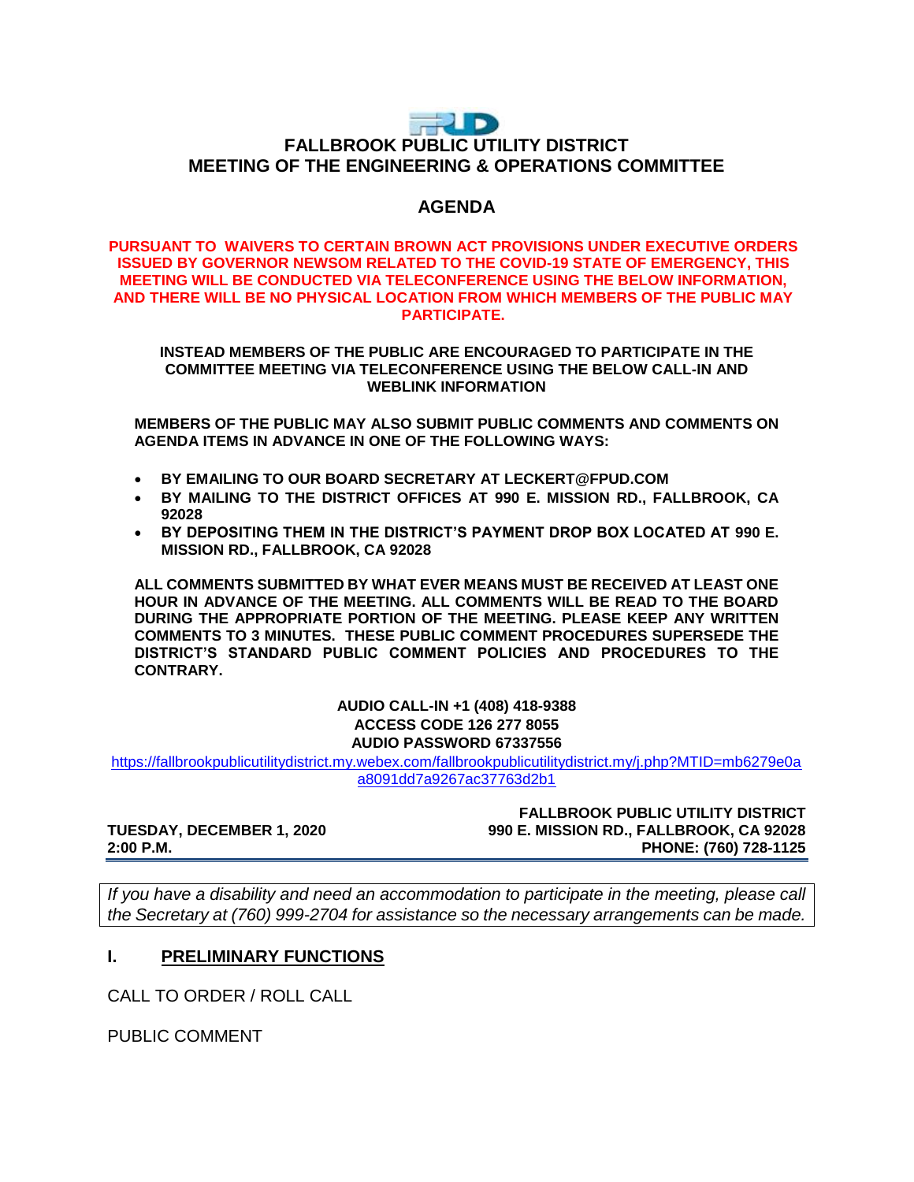# **THUD FALLBROOK PUBLIC UTILITY DISTRICT MEETING OF THE ENGINEERING & OPERATIONS COMMITTEE**

# **AGENDA**

#### **PURSUANT TO WAIVERS TO CERTAIN BROWN ACT PROVISIONS UNDER EXECUTIVE ORDERS ISSUED BY GOVERNOR NEWSOM RELATED TO THE COVID-19 STATE OF EMERGENCY, THIS MEETING WILL BE CONDUCTED VIA TELECONFERENCE USING THE BELOW INFORMATION, AND THERE WILL BE NO PHYSICAL LOCATION FROM WHICH MEMBERS OF THE PUBLIC MAY PARTICIPATE.**

**INSTEAD MEMBERS OF THE PUBLIC ARE ENCOURAGED TO PARTICIPATE IN THE COMMITTEE MEETING VIA TELECONFERENCE USING THE BELOW CALL-IN AND WEBLINK INFORMATION**

**MEMBERS OF THE PUBLIC MAY ALSO SUBMIT PUBLIC COMMENTS AND COMMENTS ON AGENDA ITEMS IN ADVANCE IN ONE OF THE FOLLOWING WAYS:**

- **BY EMAILING TO OUR BOARD SECRETARY AT LECKERT@FPUD.COM**
- **BY MAILING TO THE DISTRICT OFFICES AT 990 E. MISSION RD., FALLBROOK, CA 92028**
- **BY DEPOSITING THEM IN THE DISTRICT'S PAYMENT DROP BOX LOCATED AT 990 E. MISSION RD., FALLBROOK, CA 92028**

**ALL COMMENTS SUBMITTED BY WHAT EVER MEANS MUST BE RECEIVED AT LEAST ONE HOUR IN ADVANCE OF THE MEETING. ALL COMMENTS WILL BE READ TO THE BOARD DURING THE APPROPRIATE PORTION OF THE MEETING. PLEASE KEEP ANY WRITTEN COMMENTS TO 3 MINUTES. THESE PUBLIC COMMENT PROCEDURES SUPERSEDE THE DISTRICT'S STANDARD PUBLIC COMMENT POLICIES AND PROCEDURES TO THE CONTRARY.**

> **AUDIO CALL-IN +1 (408) 418-9388 ACCESS CODE 126 277 8055 AUDIO PASSWORD 67337556**

[https://fallbrookpublicutilitydistrict.my.webex.com/fallbrookpublicutilitydistrict.my/j.php?MTID=mb6279e0a](https://fallbrookpublicutilitydistrict.my.webex.com/fallbrookpublicutilitydistrict.my/j.php?MTID=mb6279e0aa8091dd7a9267ac37763d2b1) [a8091dd7a9267ac37763d2b1](https://fallbrookpublicutilitydistrict.my.webex.com/fallbrookpublicutilitydistrict.my/j.php?MTID=mb6279e0aa8091dd7a9267ac37763d2b1)

**FALLBROOK PUBLIC UTILITY DISTRICT TUESDAY, DECEMBER 1, 2020 990 E. MISSION RD., FALLBROOK, CA 92028 2:00 P.M. PHONE: (760) 728-1125**

*If you have a disability and need an accommodation to participate in the meeting, please call the Secretary at (760) 999-2704 for assistance so the necessary arrangements can be made.* 

### **I. PRELIMINARY FUNCTIONS**

CALL TO ORDER / ROLL CALL

PUBLIC COMMENT